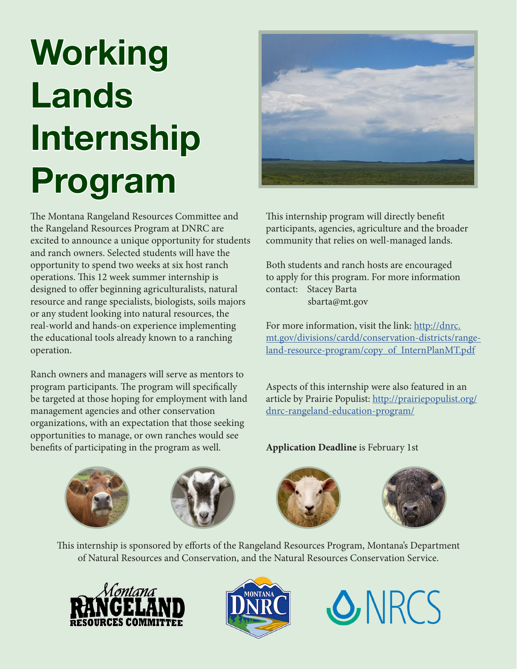# **Working Lands Internship Program**

The Montana Rangeland Resources Committee and the Rangeland Resources Program at DNRC are excited to announce a unique opportunity for students and ranch owners. Selected students will have the opportunity to spend two weeks at six host ranch operations. This 12 week summer internship is designed to offer beginning agriculturalists, natural resource and range specialists, biologists, soils majors or any student looking into natural resources, the real-world and hands-on experience implementing the educational tools already known to a ranching operation.

Ranch owners and managers will serve as mentors to program participants. The program will specifically be targeted at those hoping for employment with land management agencies and other conservation organizations, with an expectation that those seeking opportunities to manage, or own ranches would see benefits of participating in the program as well.



This internship program will directly benefit participants, agencies, agriculture and the broader community that relies on well-managed lands.

Both students and ranch hosts are encouraged to apply for this program. For more information contact: Stacey Barta sbarta@mt.gov

For more information, visit the link: http://dnrc. mt.gov/divisions/cardd/conservation-districts/rangeland-resource-program/copy\_of\_InternPlanMT.pdf

Aspects of this internship were also featured in an article by Prairie Populist: http://prairiepopulist.org/ dnrc-rangeland-education-program/

**Application Deadline** is February 1st









This internship is sponsored by efforts of the Rangeland Resources Program, Montana's Department of Natural Resources and Conservation, and the Natural Resources Conservation Service.